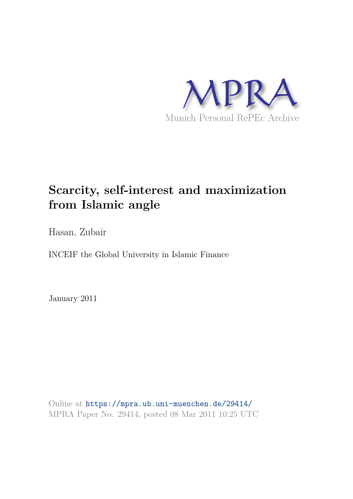

# **Scarcity, self-interest and maximization from Islamic angle**

Hasan, Zubair

INCEIF the Global University in Islamic Finance

January 2011

Online at https://mpra.ub.uni-muenchen.de/29414/ MPRA Paper No. 29414, posted 08 Mar 2011 10:25 UTC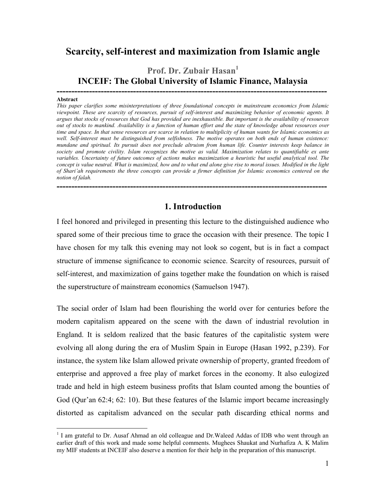## **Scarcity, self-interest and maximization from Islamic angle**

## **Prof. Dr. Zubair Hasan<sup>1</sup> INCEIF: The Global University of Islamic Finance, Malaysia**

**--------------------------------------------------------------------------------------------** 

#### **Abstract**

 $\overline{a}$ 

*This paper clarifies some misinterpretations of three foundational concepts in mainstream economics from Islamic viewpoint. These are scarcity of resources, pursuit of self-interest and maximizing behavior of economic agents. It argues that stocks of resources that God has provided are inexhaustible. But important is the availability of resources out of stocks to mankind. Availability is a function of human effort and the state of knowledge about resources over time and space. In that sense resources are scarce in relation to multiplicity of human wants for Islamic economics as*  well. Self-interest must be distinguished from selfishness. The motive operates on both ends of human existence: *mundane and spiritual. Its pursuit does not preclude altruism from human life. Counter interests keep balance in*  society and promote civility. Islam recognizes the motive as valid. Maximization relates to quantifiable ex ante variables. Uncertainty of future outcomes of actions makes maximization a heuristic but useful analytical tool. The *concept is value neutral. What is maximized, how and to what end alone give rise to moral issues. Modified in the light of Shari"ah requirements the three concepts can provide a firmer definition for Islamic economics centered on the notion of falah.* 

#### **1. Introduction**

**--------------------------------------------------------------------------------------------**

I feel honored and privileged in presenting this lecture to the distinguished audience who spared some of their precious time to grace the occasion with their presence. The topic I have chosen for my talk this evening may not look so cogent, but is in fact a compact structure of immense significance to economic science. Scarcity of resources, pursuit of self-interest, and maximization of gains together make the foundation on which is raised the superstructure of mainstream economics (Samuelson 1947).

The social order of Islam had been flourishing the world over for centuries before the modern capitalism appeared on the scene with the dawn of industrial revolution in England. It is seldom realized that the basic features of the capitalistic system were evolving all along during the era of Muslim Spain in Europe (Hasan 1992, p.239). For instance, the system like Islam allowed private ownership of property, granted freedom of enterprise and approved a free play of market forces in the economy. It also eulogized trade and held in high esteem business profits that Islam counted among the bounties of God (Qur'an 62:4; 62: 10). But these features of the Islamic import became increasingly distorted as capitalism advanced on the secular path discarding ethical norms and

<sup>&</sup>lt;sup>1</sup> I am grateful to Dr. Ausaf Ahmad an old colleague and Dr. Waleed Addas of IDB who went through an earlier draft of this work and made some helpful comments. Mughees Shaukat and Nurhafiza A. K Malim my MIF students at INCEIF also deserve a mention for their help in the preparation of this manuscript.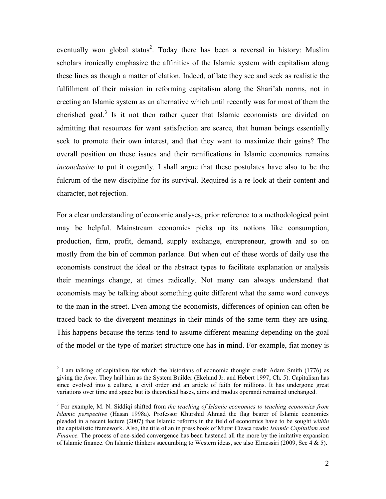eventually won global status<sup>2</sup>. Today there has been a reversal in history: Muslim scholars ironically emphasize the affinities of the Islamic system with capitalism along these lines as though a matter of elation. Indeed, of late they see and seek as realistic the fulfillment of their mission in reforming capitalism along the Shari'ah norms, not in erecting an Islamic system as an alternative which until recently was for most of them the cherished goal.<sup>3</sup> Is it not then rather queer that Islamic economists are divided on admitting that resources for want satisfaction are scarce, that human beings essentially seek to promote their own interest, and that they want to maximize their gains? The overall position on these issues and their ramifications in Islamic economics remains *inconclusive* to put it cogently. I shall argue that these postulates have also to be the fulcrum of the new discipline for its survival. Required is a re-look at their content and character, not rejection.

For a clear understanding of economic analyses, prior reference to a methodological point may be helpful. Mainstream economics picks up its notions like consumption, production, firm, profit, demand, supply exchange, entrepreneur, growth and so on mostly from the bin of common parlance. But when out of these words of daily use the economists construct the ideal or the abstract types to facilitate explanation or analysis their meanings change, at times radically. Not many can always understand that economists may be talking about something quite different what the same word conveys to the man in the street. Even among the economists, differences of opinion can often be traced back to the divergent meanings in their minds of the same term they are using. This happens because the terms tend to assume different meaning depending on the goal of the model or the type of market structure one has in mind. For example, fiat money is

 $2$  I am talking of capitalism for which the historians of economic thought credit Adam Smith (1776) as giving the *form.* They hail him as the System Builder (Ekelund Jr. and Hebert 1997, Ch. 5). Capitalism has since evolved into a culture, a civil order and an article of faith for millions. It has undergone great variations over time and space but its theoretical bases, aims and modus operandi remained unchanged.

<sup>&</sup>lt;sup>3</sup> For example, M. N. Siddiqi shifted from *the teaching of Islamic economics to teaching economics from Islamic perspective* (Hasan 1998a). Professor Khurshid Ahmad the flag bearer of Islamic economics pleaded in a recent lecture (2007) that Islamic reforms in the field of economics have to be sought *within*  the capitalistic framework. Also, the title of an in press book of Murat Cizaca reads: *Islamic Capitalism and Finance.* The process of one-sided convergence has been hastened all the more by the imitative expansion of Islamic finance. On Islamic thinkers succumbing to Western ideas, see also Elmessiri (2009, Sec 4 & 5).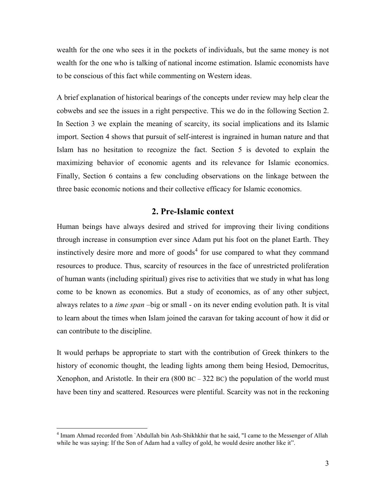wealth for the one who sees it in the pockets of individuals, but the same money is not wealth for the one who is talking of national income estimation. Islamic economists have to be conscious of this fact while commenting on Western ideas.

A brief explanation of historical bearings of the concepts under review may help clear the cobwebs and see the issues in a right perspective. This we do in the following Section 2. In Section 3 we explain the meaning of scarcity, its social implications and its Islamic import. Section 4 shows that pursuit of self-interest is ingrained in human nature and that Islam has no hesitation to recognize the fact. Section 5 is devoted to explain the maximizing behavior of economic agents and its relevance for Islamic economics. Finally, Section 6 contains a few concluding observations on the linkage between the three basic economic notions and their collective efficacy for Islamic economics.

#### **2. Pre-Islamic context**

Human beings have always desired and strived for improving their living conditions through increase in consumption ever since Adam put his foot on the planet Earth. They instinctively desire more and more of goods<sup>4</sup> for use compared to what they command resources to produce. Thus, scarcity of resources in the face of unrestricted proliferation of human wants (including spiritual) gives rise to activities that we study in what has long come to be known as economics. But a study of economics, as of any other subject, always relates to a *time span* –big or small - on its never ending evolution path. It is vital to learn about the times when Islam joined the caravan for taking account of how it did or can contribute to the discipline.

It would perhaps be appropriate to start with the contribution of Greek thinkers to the history of economic thought, the leading lights among them being Hesiod, Democritus, Xenophon, and Aristotle. In their era (800 BC – 322 BC) the population of the world must have been tiny and scattered. Resources were plentiful. Scarcity was not in the reckoning

<sup>&</sup>lt;sup>4</sup> Imam Ahmad recorded from `Abdullah bin Ash-Shikhkhir that he said, "I came to the Messenger of Allah while he was saying: If the Son of Adam had a valley of gold, he would desire another like it".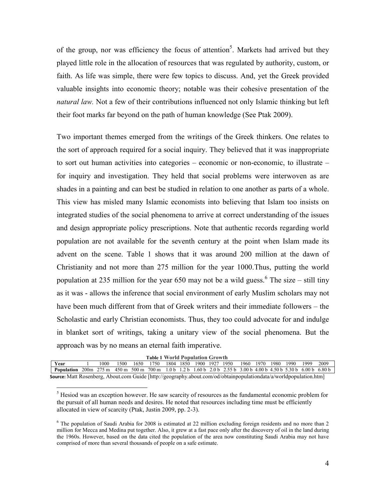of the group, nor was efficiency the focus of attention<sup>5</sup>. Markets had arrived but they played little role in the allocation of resources that was regulated by authority, custom, or faith. As life was simple, there were few topics to discuss. And, yet the Greek provided valuable insights into economic theory; notable was their cohesive presentation of the *natural law.* Not a few of their contributions influenced not only Islamic thinking but left their foot marks far beyond on the path of human knowledge (See Ptak 2009).

Two important themes emerged from the writings of the Greek thinkers. One relates to the sort of approach required for a social inquiry. They believed that it was inappropriate to sort out human activities into categories – economic or non-economic, to illustrate – for inquiry and investigation. They held that social problems were interwoven as are shades in a painting and can best be studied in relation to one another as parts of a whole. This view has misled many Islamic economists into believing that Islam too insists on integrated studies of the social phenomena to arrive at correct understanding of the issues and design appropriate policy prescriptions. Note that authentic records regarding world population are not available for the seventh century at the point when Islam made its advent on the scene. Table 1 shows that it was around 200 million at the dawn of Christianity and not more than 275 million for the year 1000.Thus, putting the world population at 235 million for the year 650 may not be a wild guess.  $6$  The size – still tiny as it was - allows the inference that social environment of early Muslim scholars may not have been much different from that of Greek writers and their immediate followers – the Scholastic and early Christian economists. Thus, they too could advocate for and indulge in blanket sort of writings, taking a unitary view of the social phenomena. But the approach was by no means an eternal faith imperative.

|  |  | <b>Table 1 World Population Growth</b> |  |
|--|--|----------------------------------------|--|

| Year                                                                                                                     |  | 1000. | 1500 | 1650 | 1750 |  |  | 1804 1850 1900 1927 1950 |  |  | 1960 1970 1980 1990 1999 | 2009 |
|--------------------------------------------------------------------------------------------------------------------------|--|-------|------|------|------|--|--|--------------------------|--|--|--------------------------|------|
| <b>Population</b> 200m 275 m 450 m 500 m 700 m 1.0 b 1.2 b 1.60 b 2.0 b 2.55 b 3.00 b 4.00 b 4.50 b 5.30 b 6.00 b 6.80 b |  |       |      |      |      |  |  |                          |  |  |                          |      |
| Source: Matt Rosenberg, About.com Guide [http://geography.about.com/od/obtainpopulationdata/a/worldpopulation.htm]       |  |       |      |      |      |  |  |                          |  |  |                          |      |

<sup>&</sup>lt;sup>5</sup> Hesiod was an exception however. He saw scarcity of resources as the fundamental economic problem for the pursuit of all human needs and desires. He noted that resources including time must be efficiently allocated in view of scarcity (Ptak, Justin 2009, pp. 2-3).

<sup>&</sup>lt;sup>6</sup> The population of Saudi Arabia for 2008 is estimated at 22 million excluding foreign residents and no more than 2 million for Mecca and Medina put together. Also, it grew at a fast pace only after the discovery of oil in the land during the 1960s. However, based on the data cited the population of the area now constituting Saudi Arabia may not have comprised of more than several thousands of people on a safe estimate.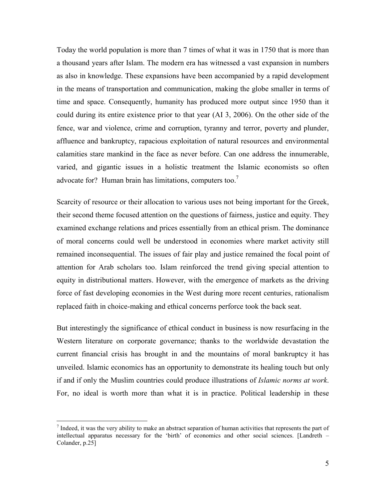Today the world population is more than 7 times of what it was in 1750 that is more than a thousand years after Islam. The modern era has witnessed a vast expansion in numbers as also in knowledge. These expansions have been accompanied by a rapid development in the means of transportation and communication, making the globe smaller in terms of time and space. Consequently, humanity has produced more output since 1950 than it could during its entire existence prior to that year (AI 3, 2006). On the other side of the fence, war and violence, crime and corruption, tyranny and terror, poverty and plunder, affluence and bankruptcy, rapacious exploitation of natural resources and environmental calamities stare mankind in the face as never before. Can one address the innumerable, varied, and gigantic issues in a holistic treatment the Islamic economists so often advocate for? Human brain has limitations, computers too.<sup>7</sup>

Scarcity of resource or their allocation to various uses not being important for the Greek, their second theme focused attention on the questions of fairness, justice and equity. They examined exchange relations and prices essentially from an ethical prism. The dominance of moral concerns could well be understood in economies where market activity still remained inconsequential. The issues of fair play and justice remained the focal point of attention for Arab scholars too. Islam reinforced the trend giving special attention to equity in distributional matters. However, with the emergence of markets as the driving force of fast developing economies in the West during more recent centuries, rationalism replaced faith in choice-making and ethical concerns perforce took the back seat.

But interestingly the significance of ethical conduct in business is now resurfacing in the Western literature on corporate governance; thanks to the worldwide devastation the current financial crisis has brought in and the mountains of moral bankruptcy it has unveiled. Islamic economics has an opportunity to demonstrate its healing touch but only if and if only the Muslim countries could produce illustrations of *Islamic norms at work*. For, no ideal is worth more than what it is in practice. Political leadership in these

 $<sup>7</sup>$  Indeed, it was the very ability to make an abstract separation of human activities that represents the part of</sup> intellectual apparatus necessary for the "birth" of economics and other social sciences. [Landreth – Colander, p.25]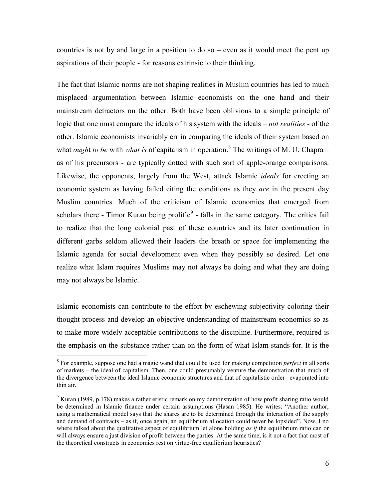countries is not by and large in a position to do so  $-$  even as it would meet the pent up aspirations of their people - for reasons extrinsic to their thinking.

The fact that Islamic norms are not shaping realities in Muslim countries has led to much misplaced argumentation between Islamic economists on the one hand and their mainstream detractors on the other. Both have been oblivious to a simple principle of logic that one must compare the ideals of his system with the ideals – *not realities* - of the other. Islamic economists invariably err in comparing the ideals of their system based on what *ought to be* with *what is* of capitalism in operation.<sup>8</sup> The writings of M. U. Chapra – as of his precursors - are typically dotted with such sort of apple-orange comparisons. Likewise, the opponents, largely from the West, attack Islamic *ideals* for erecting an economic system as having failed citing the conditions as they *are* in the present day Muslim countries. Much of the criticism of Islamic economics that emerged from scholars there - Timor Kuran being prolific $9$  - falls in the same category. The critics fail to realize that the long colonial past of these countries and its later continuation in different garbs seldom allowed their leaders the breath or space for implementing the Islamic agenda for social development even when they possibly so desired. Let one realize what Islam requires Muslims may not always be doing and what they are doing may not always be Islamic.

Islamic economists can contribute to the effort by eschewing subjectivity coloring their thought process and develop an objective understanding of mainstream economics so as to make more widely acceptable contributions to the discipline. Furthermore, required is the emphasis on the substance rather than on the form of what Islam stands for. It is the

<sup>8</sup> For example, suppose one had a magic wand that could be used for making competition *perfect* in all sorts of markets – the ideal of capitalism. Then, one could presumably venture the demonstration that much of the divergence between the ideal Islamic economic structures and that of capitalistic order evaporated into thin air.

 $9$  Kuran (1989, p.178) makes a rather eristic remark on my demonstration of how profit sharing ratio would be determined in Islamic finance under certain assumptions (Hasan 1985). He writes: "Another author, using a mathematical model says that the shares are to be determined through the interaction of the supply and demand of contracts – as if, once again, an equilibrium allocation could never be lopsided". Now, I no where talked about the qualitative aspect of equilibrium let alone holding *as if* the equilibrium ratio can or will always ensure a just division of profit between the parties. At the same time, is it not a fact that most of the theoretical constructs in economics rest on virtue-free equilibrium heuristics?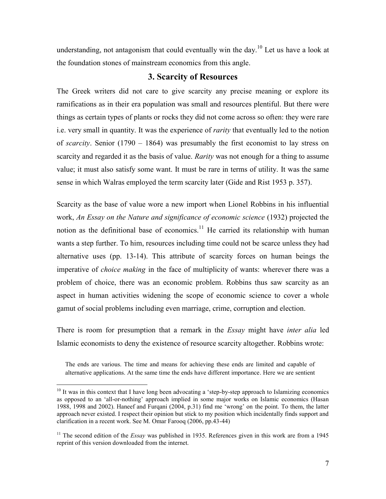understanding, not antagonism that could eventually win the day.<sup>10</sup> Let us have a look at the foundation stones of mainstream economics from this angle.

#### **3. Scarcity of Resources**

The Greek writers did not care to give scarcity any precise meaning or explore its ramifications as in their era population was small and resources plentiful. But there were things as certain types of plants or rocks they did not come across so often: they were rare i.e. very small in quantity. It was the experience of *rarity* that eventually led to the notion of *scarcity*. Senior (1790 – 1864) was presumably the first economist to lay stress on scarcity and regarded it as the basis of value. *Rarity* was not enough for a thing to assume value; it must also satisfy some want. It must be rare in terms of utility. It was the same sense in which Walras employed the term scarcity later (Gide and Rist 1953 p. 357).

Scarcity as the base of value wore a new import when Lionel Robbins in his influential work, *An Essay on the Nature and significance of economic science* (1932) projected the notion as the definitional base of economics.<sup>11</sup> He carried its relationship with human wants a step further. To him, resources including time could not be scarce unless they had alternative uses (pp. 13-14). This attribute of scarcity forces on human beings the imperative of *choice making* in the face of multiplicity of wants: wherever there was a problem of choice, there was an economic problem. Robbins thus saw scarcity as an aspect in human activities widening the scope of economic science to cover a whole gamut of social problems including even marriage, crime, corruption and election.

There is room for presumption that a remark in the *Essay* might have *inter alia* led Islamic economists to deny the existence of resource scarcity altogether. Robbins wrote:

The ends are various. The time and means for achieving these ends are limited and capable of alternative applications. At the same time the ends have different importance. Here we are sentient

 $\overline{a}$ <sup>10</sup> It was in this context that I have long been advocating a 'step-by-step approach to Islamizing economics as opposed to an "all-or-nothing" approach implied in some major works on Islamic economics (Hasan 1988, 1998 and 2002). Haneef and Furqani (2004, p.31) find me "wrong" on the point. To them, the latter approach never existed. I respect their opinion but stick to my position which incidentally finds support and clarification in a recent work. See M. Omar Farooq (2006, pp.43-44)

<sup>&</sup>lt;sup>11</sup> The second edition of the *Essay* was published in 1935. References given in this work are from a 1945 reprint of this version downloaded from the internet.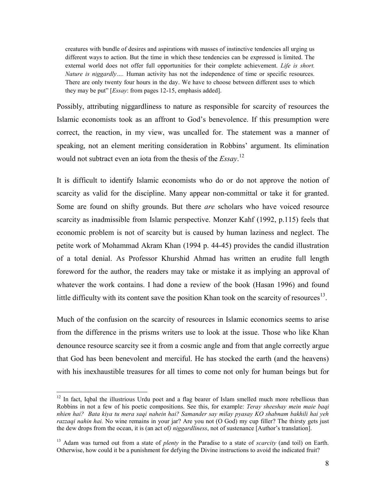creatures with bundle of desires and aspirations with masses of instinctive tendencies all urging us different ways to action. But the time in which these tendencies can be expressed is limited. The external world does not offer full opportunities for their complete achievement. *Life is short. Nature is niggardly….* Human activity has not the independence of time or specific resources. There are only twenty four hours in the day. We have to choose between different uses to which they may be put" [*Essay*: from pages 12-15, emphasis added].

Possibly, attributing niggardliness to nature as responsible for scarcity of resources the Islamic economists took as an affront to God"s benevolence. If this presumption were correct, the reaction, in my view, was uncalled for. The statement was a manner of speaking, not an element meriting consideration in Robbins' argument. Its elimination would not subtract even an iota from the thesis of the *Essay*. 12

It is difficult to identify Islamic economists who do or do not approve the notion of scarcity as valid for the discipline. Many appear non-committal or take it for granted. Some are found on shifty grounds. But there *are* scholars who have voiced resource scarcity as inadmissible from Islamic perspective. Monzer Kahf (1992, p.115) feels that economic problem is not of scarcity but is caused by human laziness and neglect. The petite work of Mohammad Akram Khan (1994 p. 44-45) provides the candid illustration of a total denial. As Professor Khurshid Ahmad has written an erudite full length foreword for the author, the readers may take or mistake it as implying an approval of whatever the work contains. I had done a review of the book (Hasan 1996) and found little difficulty with its content save the position Khan took on the scarcity of resources<sup>13</sup>.

Much of the confusion on the scarcity of resources in Islamic economics seems to arise from the difference in the prisms writers use to look at the issue. Those who like Khan denounce resource scarcity see it from a cosmic angle and from that angle correctly argue that God has been benevolent and merciful. He has stocked the earth (and the heavens) with his inexhaustible treasures for all times to come not only for human beings but for

 $12$  In fact, Iqbal the illustrious Urdu poet and a flag bearer of Islam smelled much more rebellious than Robbins in not a few of his poetic compositions. See this, for example: *Teray sheeshay mein maie baqi nhien hai? Bata kiya tu mera saqi nahein hai? Samander say milay pyasay KO shabnam bakhili hai yeh razzaqi nahin hai.* No wine remains in your jar? Are you not (O God) my cup filler? The thirsty gets just the dew drops from the ocean, it is (an act of*) niggardliness*, not of sustenance [Author's translation].

<sup>13</sup> Adam was turned out from a state of *plenty* in the Paradise to a state of *scarcity* (and toil) on Earth. Otherwise, how could it be a punishment for defying the Divine instructions to avoid the indicated fruit?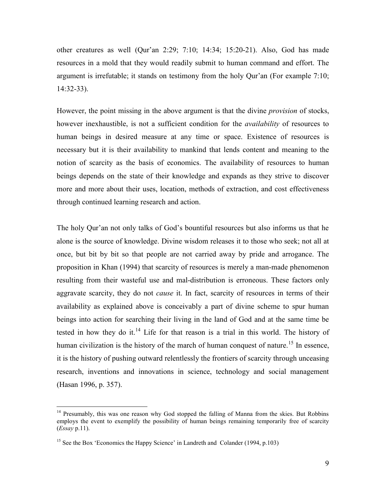other creatures as well (Qur'an  $2:29$ ;  $7:10$ ;  $14:34$ ;  $15:20-21$ ). Also, God has made resources in a mold that they would readily submit to human command and effort. The argument is irrefutable; it stands on testimony from the holy Qur'an (For example 7:10; 14:32-33).

However, the point missing in the above argument is that the divine *provision* of stocks, however inexhaustible, is not a sufficient condition for the *availability* of resources to human beings in desired measure at any time or space. Existence of resources is necessary but it is their availability to mankind that lends content and meaning to the notion of scarcity as the basis of economics. The availability of resources to human beings depends on the state of their knowledge and expands as they strive to discover more and more about their uses, location, methods of extraction, and cost effectiveness through continued learning research and action.

The holy Qur'an not only talks of God's bountiful resources but also informs us that he alone is the source of knowledge. Divine wisdom releases it to those who seek; not all at once, but bit by bit so that people are not carried away by pride and arrogance. The proposition in Khan (1994) that scarcity of resources is merely a man-made phenomenon resulting from their wasteful use and mal-distribution is erroneous. These factors only aggravate scarcity, they do not *cause* it. In fact, scarcity of resources in terms of their availability as explained above is conceivably a part of divine scheme to spur human beings into action for searching their living in the land of God and at the same time be tested in how they do it.<sup>14</sup> Life for that reason is a trial in this world. The history of human civilization is the history of the march of human conquest of nature.<sup>15</sup> In essence, it is the history of pushing outward relentlessly the frontiers of scarcity through unceasing research, inventions and innovations in science, technology and social management (Hasan 1996, p. 357).

<sup>&</sup>lt;sup>14</sup> Presumably, this was one reason why God stopped the falling of Manna from the skies. But Robbins employs the event to exemplify the possibility of human beings remaining temporarily free of scarcity (*Essay* p.11).

<sup>&</sup>lt;sup>15</sup> See the Box 'Economics the Happy Science' in Landreth and Colander (1994, p.103)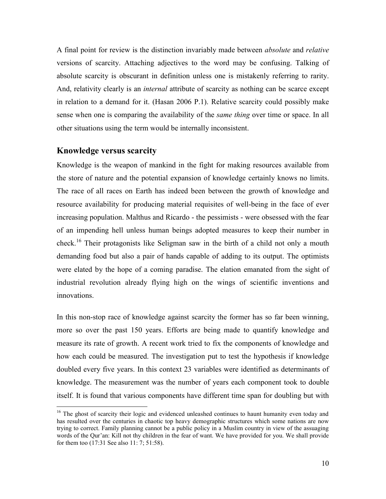A final point for review is the distinction invariably made between *absolute* and *relative* versions of scarcity. Attaching adjectives to the word may be confusing. Talking of absolute scarcity is obscurant in definition unless one is mistakenly referring to rarity. And, relativity clearly is an *internal* attribute of scarcity as nothing can be scarce except in relation to a demand for it. (Hasan 2006 P.1). Relative scarcity could possibly make sense when one is comparing the availability of the *same thing* over time or space. In all other situations using the term would be internally inconsistent.

#### **Knowledge versus scarcity**

 $\overline{a}$ 

Knowledge is the weapon of mankind in the fight for making resources available from the store of nature and the potential expansion of knowledge certainly knows no limits. The race of all races on Earth has indeed been between the growth of knowledge and resource availability for producing material requisites of well-being in the face of ever increasing population. Malthus and Ricardo - the pessimists - were obsessed with the fear of an impending hell unless human beings adopted measures to keep their number in check.<sup>16</sup> Their protagonists like Seligman saw in the birth of a child not only a mouth demanding food but also a pair of hands capable of adding to its output. The optimists were elated by the hope of a coming paradise. The elation emanated from the sight of industrial revolution already flying high on the wings of scientific inventions and innovations.

In this non-stop race of knowledge against scarcity the former has so far been winning, more so over the past 150 years. Efforts are being made to quantify knowledge and measure its rate of growth. A recent work tried to fix the components of knowledge and how each could be measured. The investigation put to test the hypothesis if knowledge doubled every five years. In this context 23 variables were identified as determinants of knowledge. The measurement was the number of years each component took to double itself. It is found that various components have different time span for doubling but with

<sup>&</sup>lt;sup>16</sup> The ghost of scarcity their logic and evidenced unleashed continues to haunt humanity even today and has resulted over the centuries in chaotic top heavy demographic structures which some nations are now trying to correct. Family planning cannot be a public policy in a Muslim country in view of the assuaging words of the Qur"an: Kill not thy children in the fear of want. We have provided for you. We shall provide for them too (17:31 See also 11: 7; 51:58).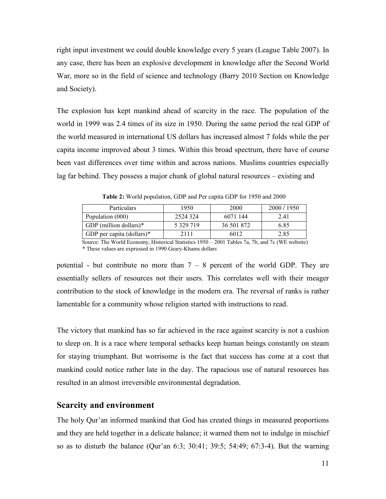right input investment we could double knowledge every 5 years (League Table 2007). In any case, there has been an explosive development in knowledge after the Second World War, more so in the field of science and technology (Barry 2010 Section on Knowledge and Society).

The explosion has kept mankind ahead of scarcity in the race. The population of the world in 1999 was 2.4 times of its size in 1950. During the same period the real GDP of the world measured in international US dollars has increased almost 7 folds while the per capita income improved about 3 times. Within this broad spectrum, there have of course been vast differences over time within and across nations. Muslims countries especially lag far behind. They possess a major chunk of global natural resources – existing and

| <b>Particulars</b>        | 1950        | 2000       | 2000/1950 |
|---------------------------|-------------|------------|-----------|
| Population (000)          | 2524 324    | 6071 144   | 2.41      |
| GDP (million dollars) $*$ | 5 3 29 7 19 | 36 501 872 | 6.85      |
| GDP per capita (dollars)* | 2111        | 6012       | 2.85      |

**Table 2:** World population, GDP and Per capita GDP for 1950 and 2000

 Source: The World Economy, Historical Statistics 1950 – 2001 Tables 7a, 7b, and 7c (WE website) \* These values are expressed in 1990 Geary-Khams dollars

potential - but contribute no more than  $7 - 8$  percent of the world GDP. They are essentially sellers of resources not their users. This correlates well with their meager contribution to the stock of knowledge in the modern era. The reversal of ranks is rather lamentable for a community whose religion started with instructions to read.

The victory that mankind has so far achieved in the race against scarcity is not a cushion to sleep on. It is a race where temporal setbacks keep human beings constantly on steam for staying triumphant. But worrisome is the fact that success has come at a cost that mankind could notice rather late in the day. The rapacious use of natural resources has resulted in an almost irreversible environmental degradation.

#### **Scarcity and environment**

The holy Qur"an informed mankind that God has created things in measured proportions and they are held together in a delicate balance; it warned them not to indulge in mischief so as to disturb the balance (Qur"an 6:3; 30:41; 39:5; 54:49; 67:3-4). But the warning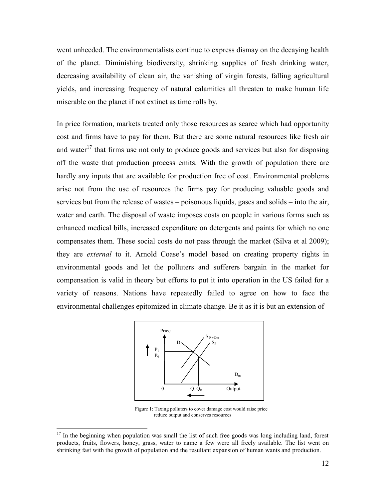went unheeded. The environmentalists continue to express dismay on the decaying health of the planet. Diminishing biodiversity, shrinking supplies of fresh drinking water, decreasing availability of clean air, the vanishing of virgin forests, falling agricultural yields, and increasing frequency of natural calamities all threaten to make human life miserable on the planet if not extinct as time rolls by.

In price formation, markets treated only those resources as scarce which had opportunity cost and firms have to pay for them. But there are some natural resources like fresh air and water<sup>17</sup> that firms use not only to produce goods and services but also for disposing off the waste that production process emits. With the growth of population there are hardly any inputs that are available for production free of cost. Environmental problems arise not from the use of resources the firms pay for producing valuable goods and services but from the release of wastes – poisonous liquids, gases and solids – into the air, water and earth. The disposal of waste imposes costs on people in various forms such as enhanced medical bills, increased expenditure on detergents and paints for which no one compensates them. These social costs do not pass through the market (Silva et al 2009); they are *external* to it. Arnold Coase"s model based on creating property rights in environmental goods and let the polluters and sufferers bargain in the market for compensation is valid in theory but efforts to put it into operation in the US failed for a variety of reasons. Nations have repeatedly failed to agree on how to face the environmental challenges epitomized in climate change. Be it as it is but an extension of



 Figure 1: Taxing polluters to cover damage cost would raise price reduce output and conserves resources

<sup>&</sup>lt;sup>17</sup> In the beginning when population was small the list of such free goods was long including land, forest products, fruits, flowers, honey, grass, water to name a few were all freely available. The list went on shrinking fast with the growth of population and the resultant expansion of human wants and production.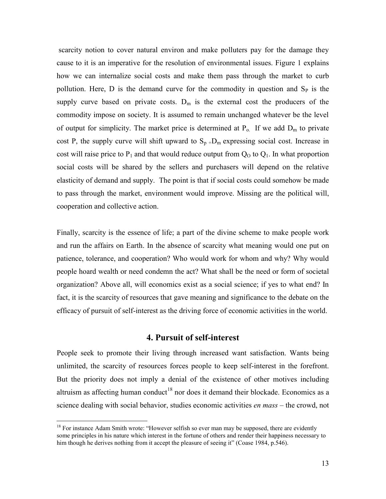scarcity notion to cover natural environ and make polluters pay for the damage they cause to it is an imperative for the resolution of environmental issues. Figure 1 explains how we can internalize social costs and make them pass through the market to curb pollution. Here, D is the demand curve for the commodity in question and  $S_p$  is the supply curve based on private costs.  $D_m$  is the external cost the producers of the commodity impose on society. It is assumed to remain unchanged whatever be the level of output for simplicity. The market price is determined at  $P_0$ . If we add  $D_m$  to private cost P, the supply curve will shift upward to  $S_p$  +D<sub>m</sub> expressing social cost. Increase in cost will raise price to  $P_1$  and that would reduce output from  $Q_0$  to  $Q_1$ . In what proportion social costs will be shared by the sellers and purchasers will depend on the relative elasticity of demand and supply. The point is that if social costs could somehow be made to pass through the market, environment would improve. Missing are the political will, cooperation and collective action.

Finally, scarcity is the essence of life; a part of the divine scheme to make people work and run the affairs on Earth. In the absence of scarcity what meaning would one put on patience, tolerance, and cooperation? Who would work for whom and why? Why would people hoard wealth or need condemn the act? What shall be the need or form of societal organization? Above all, will economics exist as a social science; if yes to what end? In fact, it is the scarcity of resources that gave meaning and significance to the debate on the efficacy of pursuit of self-interest as the driving force of economic activities in the world.

#### **4. Pursuit of self-interest**

People seek to promote their living through increased want satisfaction. Wants being unlimited, the scarcity of resources forces people to keep self-interest in the forefront. But the priority does not imply a denial of the existence of other motives including altruism as affecting human conduct<sup>18</sup> nor does it demand their blockade. Economics as a science dealing with social behavior, studies economic activities *en mass* – the crowd, not

 $18$  For instance Adam Smith wrote: "However selfish so ever man may be supposed, there are evidently some principles in his nature which interest in the fortune of others and render their happiness necessary to him though he derives nothing from it accept the pleasure of seeing it" (Coase 1984, p.546).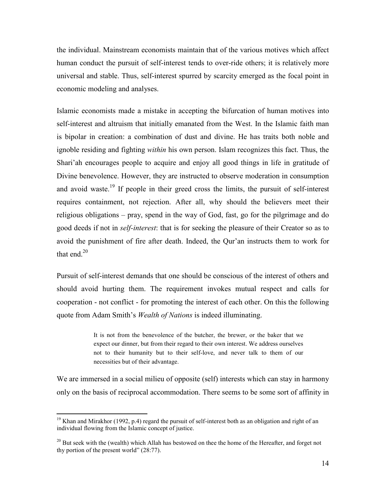the individual. Mainstream economists maintain that of the various motives which affect human conduct the pursuit of self-interest tends to over-ride others; it is relatively more universal and stable. Thus, self-interest spurred by scarcity emerged as the focal point in economic modeling and analyses.

Islamic economists made a mistake in accepting the bifurcation of human motives into self-interest and altruism that initially emanated from the West. In the Islamic faith man is bipolar in creation: a combination of dust and divine. He has traits both noble and ignoble residing and fighting *within* his own person. Islam recognizes this fact. Thus, the Shari"ah encourages people to acquire and enjoy all good things in life in gratitude of Divine benevolence. However, they are instructed to observe moderation in consumption and avoid waste.<sup>19</sup> If people in their greed cross the limits, the pursuit of self-interest requires containment, not rejection. After all, why should the believers meet their religious obligations – pray, spend in the way of God, fast, go for the pilgrimage and do good deeds if not in *self-interest*: that is for seeking the pleasure of their Creator so as to avoid the punishment of fire after death. Indeed, the Qur"an instructs them to work for that end. $20$ 

Pursuit of self-interest demands that one should be conscious of the interest of others and should avoid hurting them. The requirement invokes mutual respect and calls for cooperation - not conflict - for promoting the interest of each other. On this the following quote from Adam Smith"s *Wealth of Nations* is indeed illuminating.

> It is not from the benevolence of the butcher, the brewer, or the baker that we expect our dinner, but from their regard to their own interest. We address ourselves not to their humanity but to their self-love, and never talk to them of our necessities but of their advantage.

We are immersed in a social milieu of opposite (self) interests which can stay in harmony only on the basis of reciprocal accommodation. There seems to be some sort of affinity in

<sup>&</sup>lt;sup>19</sup> Khan and Mirakhor (1992, p.4) regard the pursuit of self-interest both as an obligation and right of an individual flowing from the Islamic concept of justice.

 $^{20}$  But seek with the (wealth) which Allah has bestowed on thee the home of the Hereafter, and forget not thy portion of the present world" (28:77).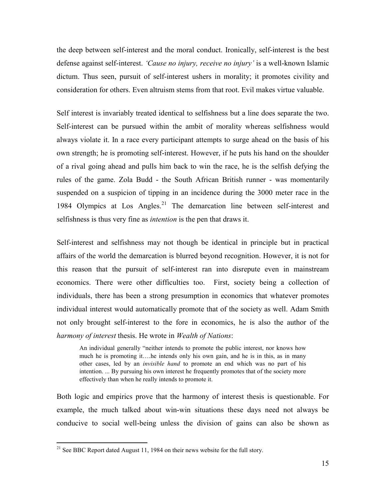the deep between self-interest and the moral conduct. Ironically, self-interest is the best defense against self-interest. *"Cause no injury, receive no injury"* is a well-known Islamic dictum. Thus seen, pursuit of self-interest ushers in morality; it promotes civility and consideration for others. Even altruism stems from that root. Evil makes virtue valuable.

Self interest is invariably treated identical to selfishness but a line does separate the two. Self-interest can be pursued within the ambit of morality whereas selfishness would always violate it. In a race every participant attempts to surge ahead on the basis of his own strength; he is promoting self-interest. However, if he puts his hand on the shoulder of a rival going ahead and pulls him back to win the race, he is the selfish defying the rules of the game. Zola Budd - the South African British runner - was momentarily suspended on a suspicion of tipping in an incidence during the 3000 meter race in the 1984 Olympics at Los Angles.<sup>21</sup> The demarcation line between self-interest and selfishness is thus very fine as *intention* is the pen that draws it.

Self-interest and selfishness may not though be identical in principle but in practical affairs of the world the demarcation is blurred beyond recognition. However, it is not for this reason that the pursuit of self-interest ran into disrepute even in mainstream economics. There were other difficulties too. First, society being a collection of individuals, there has been a strong presumption in economics that whatever promotes individual interest would automatically promote that of the society as well. Adam Smith not only brought self-interest to the fore in economics, he is also the author of the *harmony of interest* thesis. He wrote in *Wealth of Nations*:

An individual generally "neither intends to promote the public interest, nor knows how much he is promoting it….he intends only his own gain, and he is in this, as in many other cases, led by an *invisible hand* to promote an end which was no part of his intention. ... By pursuing his own interest he frequently promotes that of the society more effectively than when he really intends to promote it.

Both logic and empirics prove that the harmony of interest thesis is questionable. For example, the much talked about win-win situations these days need not always be conducive to social well-being unless the division of gains can also be shown as

<sup>&</sup>lt;sup>21</sup> See BBC Report dated August 11, 1984 on their news website for the full story.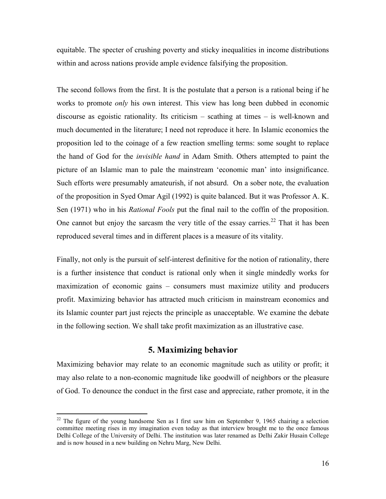equitable. The specter of crushing poverty and sticky inequalities in income distributions within and across nations provide ample evidence falsifying the proposition.

The second follows from the first. It is the postulate that a person is a rational being if he works to promote *only* his own interest. This view has long been dubbed in economic discourse as egoistic rationality. Its criticism – scathing at times – is well-known and much documented in the literature; I need not reproduce it here. In Islamic economics the proposition led to the coinage of a few reaction smelling terms: some sought to replace the hand of God for the *invisible hand* in Adam Smith. Others attempted to paint the picture of an Islamic man to pale the mainstream "economic man" into insignificance. Such efforts were presumably amateurish, if not absurd. On a sober note, the evaluation of the proposition in Syed Omar Agil (1992) is quite balanced. But it was Professor A. K. Sen (1971) who in his *Rational Fools* put the final nail to the coffin of the proposition. One cannot but enjoy the sarcasm the very title of the essay carries.<sup>22</sup> That it has been reproduced several times and in different places is a measure of its vitality.

Finally, not only is the pursuit of self-interest definitive for the notion of rationality, there is a further insistence that conduct is rational only when it single mindedly works for maximization of economic gains – consumers must maximize utility and producers profit. Maximizing behavior has attracted much criticism in mainstream economics and its Islamic counter part just rejects the principle as unacceptable. We examine the debate in the following section. We shall take profit maximization as an illustrative case.

#### **5. Maximizing behavior**

Maximizing behavior may relate to an economic magnitude such as utility or profit; it may also relate to a non-economic magnitude like goodwill of neighbors or the pleasure of God. To denounce the conduct in the first case and appreciate, rather promote, it in the

 $22$  The figure of the young handsome Sen as I first saw him on September 9, 1965 chairing a selection committee meeting rises in my imagination even today as that interview brought me to the once famous Delhi College of the University of Delhi. The institution was later renamed as Delhi Zakir Husain College and is now housed in a new building on Nehru Marg, New Delhi.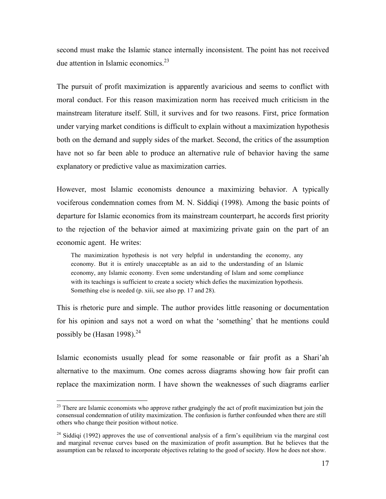second must make the Islamic stance internally inconsistent. The point has not received due attention in Islamic economics. $23$ 

The pursuit of profit maximization is apparently avaricious and seems to conflict with moral conduct. For this reason maximization norm has received much criticism in the mainstream literature itself. Still, it survives and for two reasons. First, price formation under varying market conditions is difficult to explain without a maximization hypothesis both on the demand and supply sides of the market. Second, the critics of the assumption have not so far been able to produce an alternative rule of behavior having the same explanatory or predictive value as maximization carries.

However, most Islamic economists denounce a maximizing behavior. A typically vociferous condemnation comes from M. N. Siddiqi (1998). Among the basic points of departure for Islamic economics from its mainstream counterpart, he accords first priority to the rejection of the behavior aimed at maximizing private gain on the part of an economic agent. He writes:

The maximization hypothesis is not very helpful in understanding the economy, any economy. But it is entirely unacceptable as an aid to the understanding of an Islamic economy, any Islamic economy. Even some understanding of Islam and some compliance with its teachings is sufficient to create a society which defies the maximization hypothesis. Something else is needed (p. xiii, see also pp. 17 and 28).

This is rhetoric pure and simple. The author provides little reasoning or documentation for his opinion and says not a word on what the "something" that he mentions could possibly be (Hasan 1998). $^{24}$ 

Islamic economists usually plead for some reasonable or fair profit as a Shari"ah alternative to the maximum. One comes across diagrams showing how fair profit can replace the maximization norm. I have shown the weaknesses of such diagrams earlier

<sup>&</sup>lt;sup>23</sup> There are Islamic economists who approve rather grudgingly the act of profit maximization but join the consensual condemnation of utility maximization. The confusion is further confounded when there are still others who change their position without notice.

 $24$  Siddiqi (1992) approves the use of conventional analysis of a firm's equilibrium via the marginal cost and marginal revenue curves based on the maximization of profit assumption. But he believes that the assumption can be relaxed to incorporate objectives relating to the good of society. How he does not show.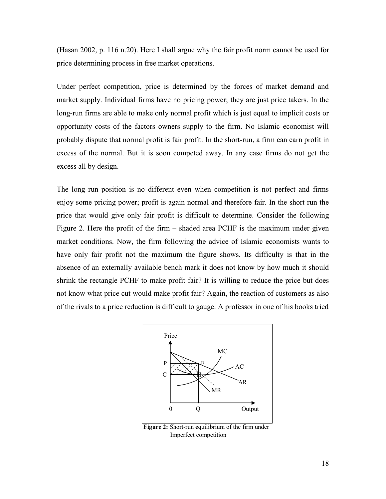(Hasan 2002, p. 116 n.20). Here I shall argue why the fair profit norm cannot be used for price determining process in free market operations.

Under perfect competition, price is determined by the forces of market demand and market supply. Individual firms have no pricing power; they are just price takers. In the long-run firms are able to make only normal profit which is just equal to implicit costs or opportunity costs of the factors owners supply to the firm. No Islamic economist will probably dispute that normal profit is fair profit. In the short-run, a firm can earn profit in excess of the normal. But it is soon competed away. In any case firms do not get the excess all by design.

The long run position is no different even when competition is not perfect and firms enjoy some pricing power; profit is again normal and therefore fair. In the short run the price that would give only fair profit is difficult to determine. Consider the following Figure 2. Here the profit of the firm – shaded area PCHF is the maximum under given market conditions. Now, the firm following the advice of Islamic economists wants to have only fair profit not the maximum the figure shows. Its difficulty is that in the absence of an externally available bench mark it does not know by how much it should shrink the rectangle PCHF to make profit fair? It is willing to reduce the price but does not know what price cut would make profit fair? Again, the reaction of customers as also of the rivals to a price reduction is difficult to gauge. A professor in one of his books tried



**Figure 2:** Short-run equilibrium of the firm under Imperfect competition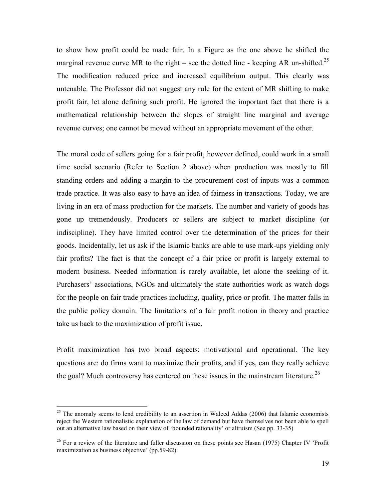to show how profit could be made fair. In a Figure as the one above he shifted the marginal revenue curve MR to the right – see the dotted line - keeping AR un-shifted.<sup>25</sup> The modification reduced price and increased equilibrium output. This clearly was untenable. The Professor did not suggest any rule for the extent of MR shifting to make profit fair, let alone defining such profit. He ignored the important fact that there is a mathematical relationship between the slopes of straight line marginal and average revenue curves; one cannot be moved without an appropriate movement of the other.

The moral code of sellers going for a fair profit, however defined, could work in a small time social scenario (Refer to Section 2 above) when production was mostly to fill standing orders and adding a margin to the procurement cost of inputs was a common trade practice. It was also easy to have an idea of fairness in transactions. Today, we are living in an era of mass production for the markets. The number and variety of goods has gone up tremendously. Producers or sellers are subject to market discipline (or indiscipline). They have limited control over the determination of the prices for their goods. Incidentally, let us ask if the Islamic banks are able to use mark-ups yielding only fair profits? The fact is that the concept of a fair price or profit is largely external to modern business. Needed information is rarely available, let alone the seeking of it. Purchasers" associations, NGOs and ultimately the state authorities work as watch dogs for the people on fair trade practices including, quality, price or profit. The matter falls in the public policy domain. The limitations of a fair profit notion in theory and practice take us back to the maximization of profit issue.

Profit maximization has two broad aspects: motivational and operational. The key questions are: do firms want to maximize their profits, and if yes, can they really achieve the goal? Much controversy has centered on these issues in the mainstream literature.<sup>26</sup>

 $25$  The anomaly seems to lend credibility to an assertion in Waleed Addas (2006) that Islamic economists reject the Western rationalistic explanation of the law of demand but have themselves not been able to spell out an alternative law based on their view of "bounded rationality" or altruism (See pp. 33-35)

<sup>&</sup>lt;sup>26</sup> For a review of the literature and fuller discussion on these points see Hasan (1975) Chapter IV 'Profit maximization as business objective' (pp.59-82).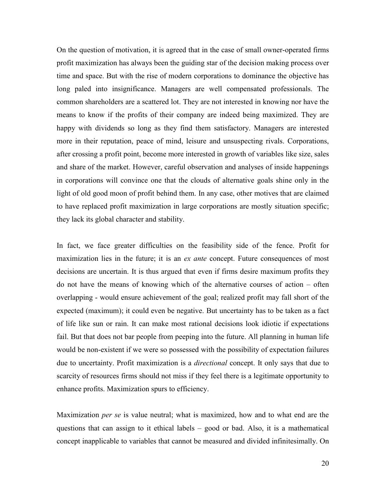On the question of motivation, it is agreed that in the case of small owner-operated firms profit maximization has always been the guiding star of the decision making process over time and space. But with the rise of modern corporations to dominance the objective has long paled into insignificance. Managers are well compensated professionals. The common shareholders are a scattered lot. They are not interested in knowing nor have the means to know if the profits of their company are indeed being maximized. They are happy with dividends so long as they find them satisfactory. Managers are interested more in their reputation, peace of mind, leisure and unsuspecting rivals. Corporations, after crossing a profit point, become more interested in growth of variables like size, sales and share of the market. However, careful observation and analyses of inside happenings in corporations will convince one that the clouds of alternative goals shine only in the light of old good moon of profit behind them. In any case, other motives that are claimed to have replaced profit maximization in large corporations are mostly situation specific; they lack its global character and stability.

In fact, we face greater difficulties on the feasibility side of the fence. Profit for maximization lies in the future; it is an *ex ante* concept. Future consequences of most decisions are uncertain. It is thus argued that even if firms desire maximum profits they do not have the means of knowing which of the alternative courses of action – often overlapping - would ensure achievement of the goal; realized profit may fall short of the expected (maximum); it could even be negative. But uncertainty has to be taken as a fact of life like sun or rain. It can make most rational decisions look idiotic if expectations fail. But that does not bar people from peeping into the future. All planning in human life would be non-existent if we were so possessed with the possibility of expectation failures due to uncertainty. Profit maximization is a *directional* concept. It only says that due to scarcity of resources firms should not miss if they feel there is a legitimate opportunity to enhance profits. Maximization spurs to efficiency.

Maximization *per se* is value neutral; what is maximized, how and to what end are the questions that can assign to it ethical labels – good or bad. Also, it is a mathematical concept inapplicable to variables that cannot be measured and divided infinitesimally. On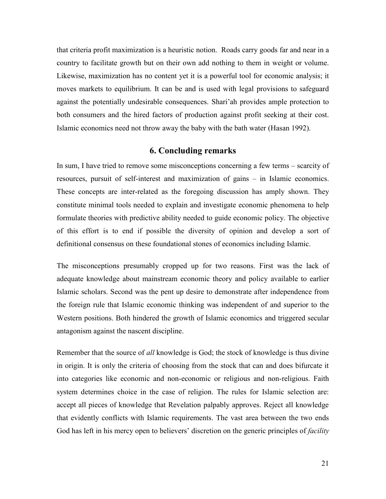that criteria profit maximization is a heuristic notion. Roads carry goods far and near in a country to facilitate growth but on their own add nothing to them in weight or volume. Likewise, maximization has no content yet it is a powerful tool for economic analysis; it moves markets to equilibrium. It can be and is used with legal provisions to safeguard against the potentially undesirable consequences. Shari"ah provides ample protection to both consumers and the hired factors of production against profit seeking at their cost. Islamic economics need not throw away the baby with the bath water (Hasan 1992).

## **6. Concluding remarks**

In sum, I have tried to remove some misconceptions concerning a few terms – scarcity of resources, pursuit of self-interest and maximization of gains – in Islamic economics. These concepts are inter-related as the foregoing discussion has amply shown. They constitute minimal tools needed to explain and investigate economic phenomena to help formulate theories with predictive ability needed to guide economic policy. The objective of this effort is to end if possible the diversity of opinion and develop a sort of definitional consensus on these foundational stones of economics including Islamic.

The misconceptions presumably cropped up for two reasons. First was the lack of adequate knowledge about mainstream economic theory and policy available to earlier Islamic scholars. Second was the pent up desire to demonstrate after independence from the foreign rule that Islamic economic thinking was independent of and superior to the Western positions. Both hindered the growth of Islamic economics and triggered secular antagonism against the nascent discipline.

Remember that the source of *all* knowledge is God; the stock of knowledge is thus divine in origin. It is only the criteria of choosing from the stock that can and does bifurcate it into categories like economic and non-economic or religious and non-religious. Faith system determines choice in the case of religion. The rules for Islamic selection are: accept all pieces of knowledge that Revelation palpably approves. Reject all knowledge that evidently conflicts with Islamic requirements. The vast area between the two ends God has left in his mercy open to believers' discretion on the generic principles of *facility*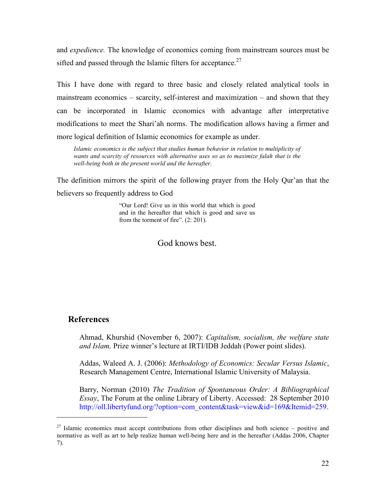and *expedience.* The knowledge of economics coming from mainstream sources must be sifted and passed through the Islamic filters for acceptance.<sup>27</sup>

This I have done with regard to three basic and closely related analytical tools in mainstream economics – scarcity, self-interest and maximization – and shown that they can be incorporated in Islamic economics with advantage after interpretative modifications to meet the Shari"ah norms. The modification allows having a firmer and more logical definition of Islamic economics for example as under.

*Islamic economics is the subject that studies human behavior in relation to multiplicity of wants and scarcity of resources with alternative uses so as to maximize falah that is the well-being both in the present world and the hereafter.* 

The definition mirrors the spirit of the following prayer from the Holy Qur"an that the believers so frequently address to God

> "Our Lord! Give us in this world that which is good and in the hereafter that which is good and save us from the torment of fire". (2: 201).

### God knows best.

#### **References**

 $\overline{a}$ 

1. Ahmad, Khurshid (November 6, 2007): *Capitalism, socialism, the welfare state and Islam,* Prize winner"s lecture at IRTI/IDB Jeddah (Power point slides).

Addas, Waleed A. J. (2006): *Methodology of Economics: Secular Versus Islamic*, Research Management Centre, International Islamic University of Malaysia.

Barry, Norman (2010) *The Tradition of Spontaneous Order: A Bibliographical Essay*, The Forum at the online Library of Liberty. Accessed: 28 September 2010 [http://oll.libertyfund.org/?option=com\\_content&task=view&id=169&Itemid=259.](http://oll.libertyfund.org/?option=com_content&task=view&id=169&Itemid=259)

<sup>&</sup>lt;sup>27</sup> Islamic economics must accept contributions from other disciplines and both science – positive and normative as well as art to help realize human well-being here and in the hereafter (Addas 2006, Chapter 7).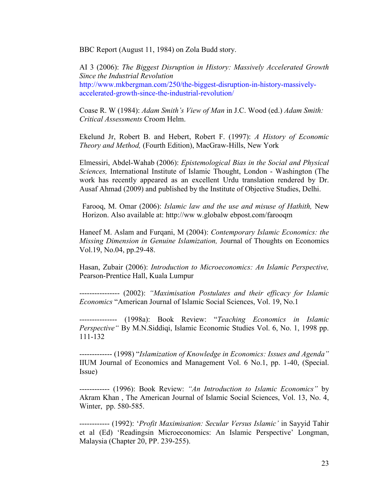BBC Report (August 11, 1984) on Zola Budd story.

*2.* AI 3 (2006): *[The Biggest Disruption in History: Massively Accelerated Growth](http://www.mkbergman.com/250/the-biggest-disruption-in-history-massively-accelerated-growth-since-the-industrial-revolution/)  [Since the Industrial Revolution](http://www.mkbergman.com/250/the-biggest-disruption-in-history-massively-accelerated-growth-since-the-industrial-revolution/)* [http://www.mkbergman.com/250/the-biggest-disruption-in-history-massively](http://www.mkbergman.com/250/the-biggest-disruption-in-history-massively-accelerated-growth-since-the-industrial-revolution/)[accelerated-growth-since-the-industrial-revolution/](http://www.mkbergman.com/250/the-biggest-disruption-in-history-massively-accelerated-growth-since-the-industrial-revolution/)

3. Coase R. W (1984): *Adam Smith"s View of Man* in J.C. Wood (ed.) *Adam Smith: Critical Assessments* Croom Helm.

Ekelund Jr, Robert B. and Hebert, Robert F. (1997): *A History of Economic Theory and Method,* (Fourth Edition), MacGraw-Hills, New York

4. Elmessiri, Abdel-Wahab (2006): *Epistemological Bias in the Social and Physical Sciences,* International Institute of Islamic Thought, London - Washington (The work has recently appeared as an excellent Urdu translation rendered by Dr. Ausaf Ahmad (2009) and published by the Institute of Objective Studies, Delhi.

Farooq, M. Omar (2006): *Islamic law and the use and misuse of Hathith,* New Horizon. Also available at: http://ww w.globalw ebpost.com/farooqm

7. Haneef M. Aslam and Furqani, M (2004): *Contemporary Islamic Economics: the Missing Dimension in Genuine Islamization,* Journal of Thoughts on Economics Vol.19, No.04, pp.29-48.

8. Hasan, Zubair (2006): *Introduction to Microeconomics: An Islamic Perspective,* Pearson-Prentice Hall, Kuala Lumpur

9. ---------------- (2002): *"Maximisation Postulates and their efficacy for Islamic Economics* "American Journal of Islamic Social Sciences, Vol. 19, No.1

10. --------------- (1998a): Book Review: "*Teaching Economics in Islamic Perspective"* By M.N.Siddiqi, Islamic Economic Studies Vol. 6, No. 1, 1998 pp. 111-132

11. ------------- (1998) "*Islamization of Knowledge in Economics: Issues and Agenda"* IIUM Journal of Economics and Management Vol. 6 No.1, pp. 1-40, (Special. Issue)

12. ------------ (1996): Book Review: *"An Introduction to Islamic Economics"* by Akram Khan , The American Journal of Islamic Social Sciences, Vol. 13, No. 4, Winter, pp. 580-585.

13. ------------ (1992): "*Profit Maximisation: Secular Versus Islamic"* in Sayyid Tahir et al (Ed) "Readingsin Microeconomics: An Islamic Perspective" Longman, Malaysia (Chapter 20, PP. 239-255).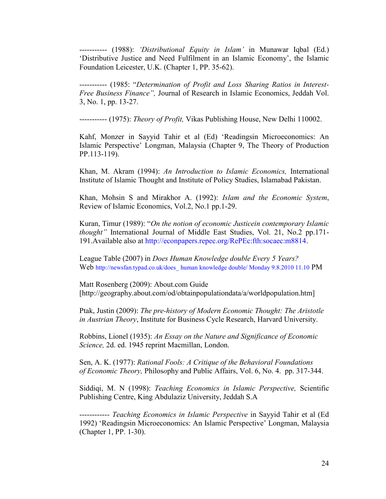14. ----------- (1988): *"Distributional Equity in Islam"* in Munawar Iqbal (Ed.) "Distributive Justice and Need Fulfilment in an Islamic Economy", the Islamic Foundation Leicester, U.K. (Chapter 1, PP. 35-62).

15. ----------- (1985: "*Determination of Profit and Loss Sharing Ratios in Interest-Free Business Finance",* Journal of Research in Islamic Economics, Jeddah Vol. 3, No. 1, pp. 13-27.

16. ----------- (1975): *Theory of Profit,* Vikas Publishing House, New Delhi 110002.

Kahf, Monzer in Sayyid Tahir et al (Ed) 'Readingsin Microeconomics: An Islamic Perspective" Longman, Malaysia (Chapter 9, The Theory of Production PP.113-119).

19. Khan, M. Akram (1994): *An Introduction to Islamic Economics,* International Institute of Islamic Thought and Institute of Policy Studies, Islamabad Pakistan.

20. Khan, Mohsin S and Mirakhor A. (1992): *Islam and the Economic System*, Review of Islamic Economics, Vol.2, No.1 pp.1-29.

21. Kuran, Timur (1989): "*On the notion of economic Justicein contemporary Islamic thought"* International Journal of Middle East Studies, Vol. 21, No.2 pp.171- 191.Available also at [http://econpapers.repec.org/RePEc:fth:socaec:m8814.](http://econpapers.repec.org/RePEc:fth:socaec:m8814)

22. League Table (2007) in *Does Human Knowledge double Every 5 Years?* Web [http://newsfan.typad.co.uk/does\\_ human knowledge double/ Monday 9.8.2010 11.10](http://newsfan.typad.co.uk/does_%20human%20knowledge_double/%20Monday%209.8.2010%2011.10) PM

[Matt Rosenberg](http://geography.about.com/bio/Matt-Rosenberg-268.htm) (2009): About.com Guide [http://geography.about.com/od/obtainpopulationdata/a/worldpopulation.htm]

Ptak, Justin (2009): *The pre-history of Modern Economic Thought: The Aristotle in Austrian Theory*, Institute for Business Cycle Research, Harvard University.

Robbins, Lionel (1935): *An Essay on the Nature and Significance of Economic Science,* 2d. ed. 1945 reprint Macmillan, London.

Sen, A. K. (1977): *Rational Fools: A Critique of the Behavioral Foundations of Economic Theory,* Philos*o*phy and Public Affairs, Vol. 6, No. 4. pp. 317-344.

24. Siddiqi, M. N (1998): *Teaching Economics in Islamic Perspective,* Scientific Publishing Centre, King Abdulaziz University, Jeddah S.A

25. ------------ *Teaching Economics in Islamic Perspective* in Sayyid Tahir et al (Ed 1992) "Readingsin Microeconomics: An Islamic Perspective" Longman, Malaysia (Chapter 1, PP. 1-30).